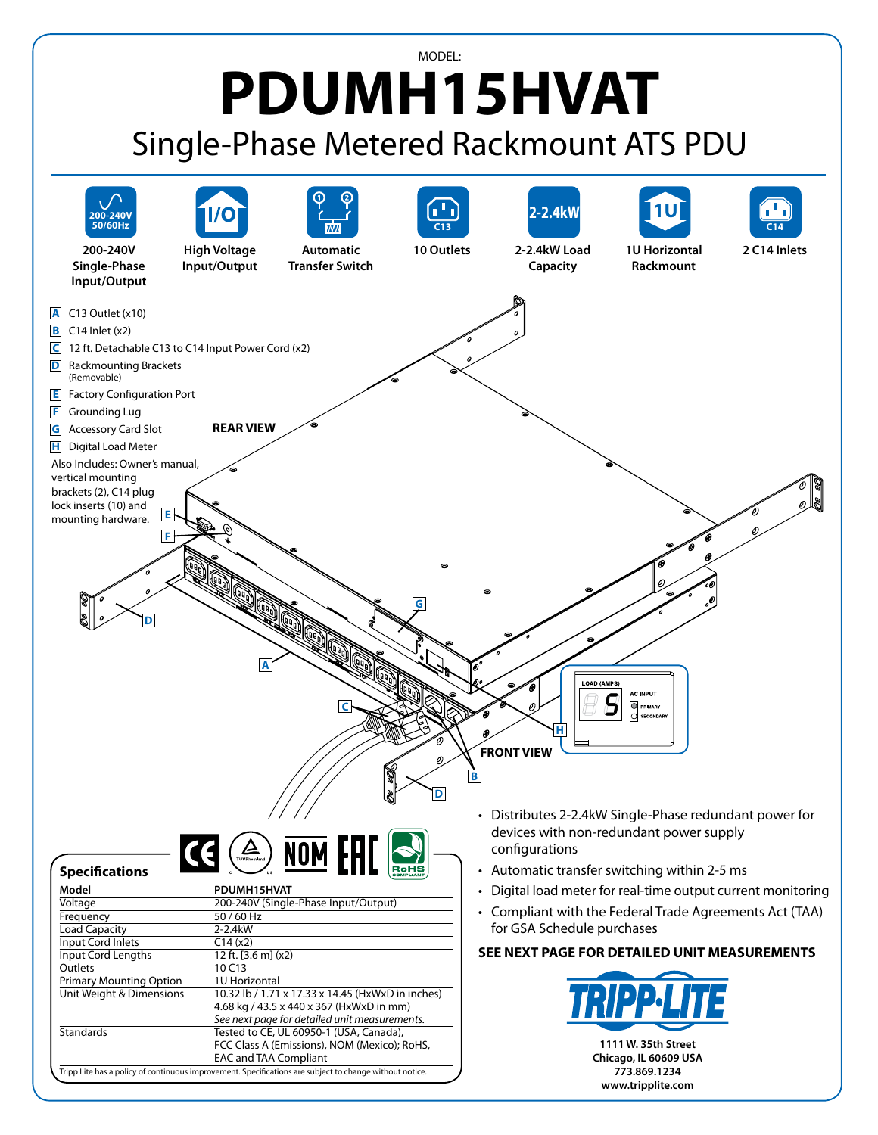## MODEL: **PDUMH15HVAT** Single-Phase Metered Rackmount ATS PDU

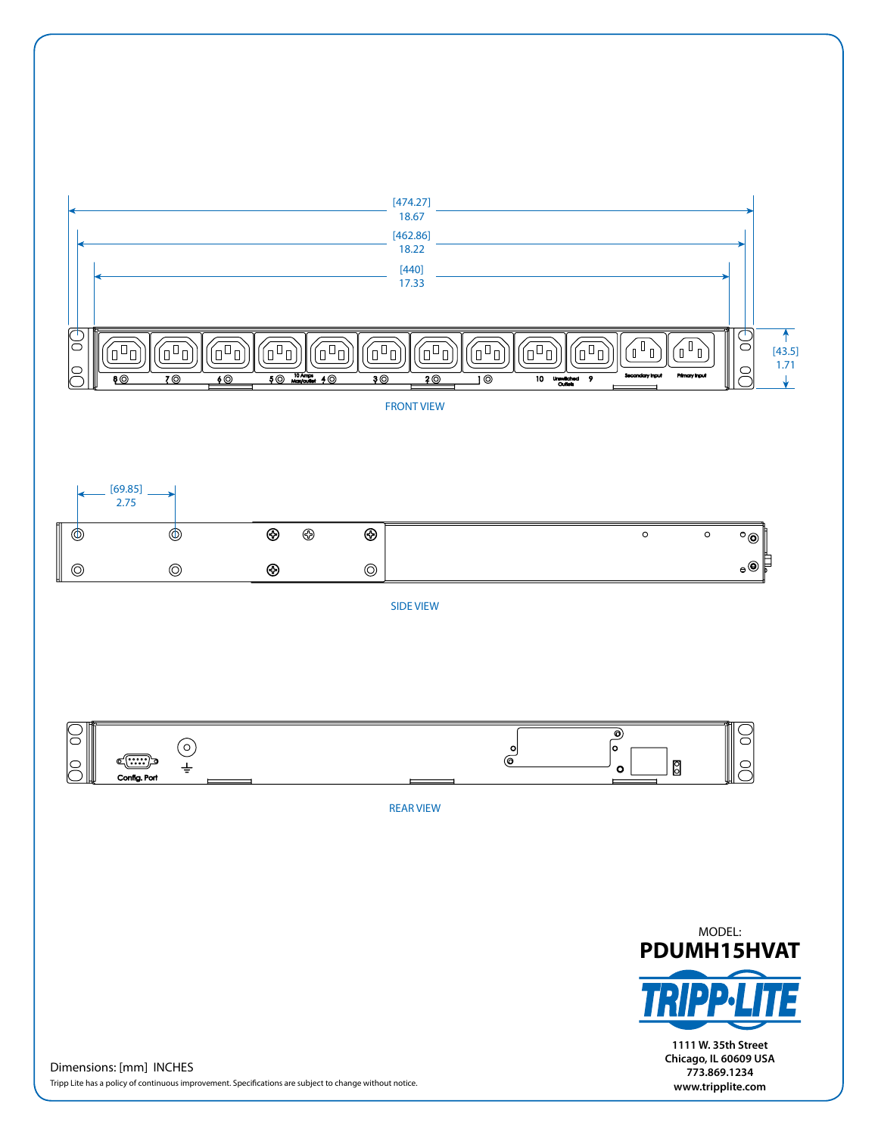[474.27] 18.67[462.86] 18.22 [440] 17.33  $\mathbb{G}% _{M_{1},M_{2}}^{\ast }\left( 1,...,1\right)$  $\mathbb{G}$  $\uparrow$  $\begin{pmatrix} 0 \\ 0 \end{pmatrix}$  $\widehat{\mathbb{G}^n}$  $\widehat{(\mathbb{Z}^n)}$  $\widehat{(\mathbb{P}\mathbb{D})}$  $\begin{matrix} \begin{smallmatrix} 0 \end{smallmatrix} \end{matrix}$ 徆 íT n T ín 徆  $\widehat{(\mathbb{Z}^n)}$  $\widehat{(\mathbb{d}^{\mathbb{D}}\mathbb{d})}$ [43.5] 1.71  $\approx$  $\supseteq$ ை  $\overline{3\circ}$  $\overline{10}$  $\overline{10}$ 7 © <u>60</u> 5 ©  $4<sup>°</sup>$ 2© ung<br>Ol ś ↓

FRONT VIEW



SIDE VIEW



REAR VIEW



**1111 W. 35th Street Chicago, IL 60609 USA 773.869.1234 www.tripplite.com**

Dimensions: [mm] INCHES Tripp Lite has a policy of continuous improvement. Specifications are subject to change without notice.